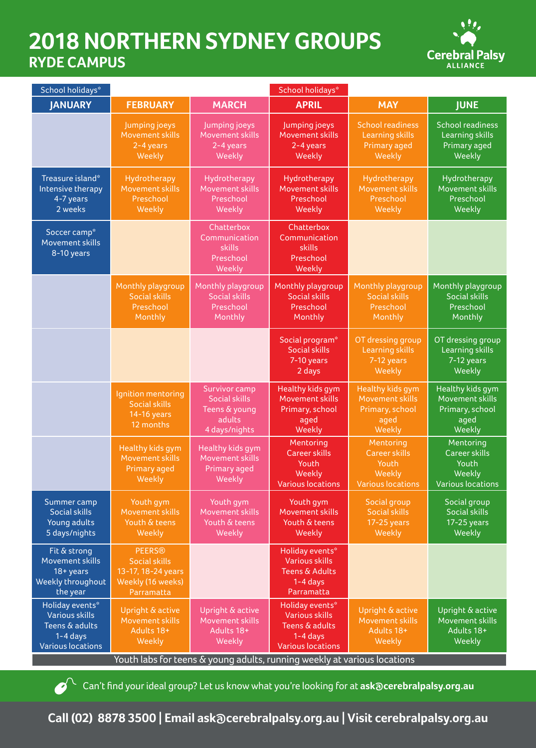## **2018 NORTHERN SYDNEY GROUPS RYDE CAMPUS**



| School holidays*                                                                                     |                                                                                                |                                                                                   | School holidays*                                                                                     |                                                                                  |                                                                                  |  |  |
|------------------------------------------------------------------------------------------------------|------------------------------------------------------------------------------------------------|-----------------------------------------------------------------------------------|------------------------------------------------------------------------------------------------------|----------------------------------------------------------------------------------|----------------------------------------------------------------------------------|--|--|
| <b>JANUARY</b>                                                                                       | <b>FEBRUARY</b>                                                                                | <b>MARCH</b>                                                                      | <b>APRIL</b>                                                                                         | <b>MAY</b>                                                                       | <b>JUNE</b>                                                                      |  |  |
|                                                                                                      | Jumping joeys<br>Movement skills<br>2-4 years<br>Weekly                                        | Jumping joeys<br>Movement skills<br>2-4 years<br>Weekly                           | Jumping joeys<br>Movement skills<br>2-4 years<br>Weekly                                              | School readiness<br><b>Learning skills</b><br>Primary aged<br>Weekly             | <b>School readiness</b><br>Learning skills<br>Primary aged<br>Weekly             |  |  |
| Treasure island*<br>Intensive therapy<br>4-7 years<br>2 weeks                                        | Hydrotherapy<br>Movement skills<br>Preschool<br>Weekly                                         | Hydrotherapy<br>Movement skills<br>Preschool<br>Weekly                            | Hydrotherapy<br><b>Movement skills</b><br>Preschool<br>Weekly                                        | Hydrotherapy<br>Movement skills<br>Preschool<br>Weekly                           | Hydrotherapy<br>Movement skills<br>Preschool<br>Weekly                           |  |  |
| Soccer camp*<br>Movement skills<br>8-10 years                                                        |                                                                                                | Chatterbox<br>Communication<br>skills<br>Preschool<br>Weekly                      | Chatterbox<br>Communication<br>skills<br>Preschool<br>Weekly                                         |                                                                                  |                                                                                  |  |  |
|                                                                                                      | Monthly playgroup<br><b>Social skills</b><br>Preschool<br>Monthly                              | Monthly playgroup<br><b>Social skills</b><br>Preschool<br>Monthly                 | Monthly playgroup<br><b>Social skills</b><br>Preschool<br>Monthly                                    | Monthly playgroup<br><b>Social skills</b><br>Preschool<br>Monthly                | Monthly playgroup<br><b>Social skills</b><br>Preschool<br>Monthly                |  |  |
|                                                                                                      |                                                                                                |                                                                                   | Social program*<br><b>Social skills</b><br>7-10 years<br>2 days                                      | OT dressing group<br><b>Learning skills</b><br>7-12 years<br>Weekly              | OT dressing group<br><b>Learning skills</b><br>7-12 years<br>Weekly              |  |  |
|                                                                                                      | Ignition mentoring<br><b>Social skills</b><br>14-16 years<br>12 months                         | Survivor camp<br><b>Social skills</b><br>Teens & young<br>adults<br>4 days/nights | <b>Healthy kids gym</b><br>Movement skills<br>Primary, school<br>aged<br>Weekly                      | <b>Healthy kids gym</b><br>Movement skills<br>Primary, school<br>aged<br>Weekly  | Healthy kids gym<br>Movement skills<br>Primary, school<br>aged<br>Weekly         |  |  |
|                                                                                                      | Healthy kids gym<br>Movement skills<br><b>Primary aged</b><br>Weekly                           | Healthy kids gym<br>Movement skills<br>Primary aged<br>Weekly                     | Mentoring<br><b>Career skills</b><br>Youth<br>Weekly<br><b>Various locations</b>                     | Mentoring<br><b>Career skills</b><br>Youth<br>Weekly<br><b>Various locations</b> | Mentoring<br><b>Career skills</b><br>Youth<br>Weekly<br><b>Various locations</b> |  |  |
| Summer camp<br><b>Social skills</b><br>Young adults<br>5 days/nights                                 | Youth gym<br>Movement skills<br>Youth & teens<br>Weekly                                        | Youth gym<br>Movement skills<br>Youth & teens<br>Weekly                           | Youth gym<br>Movement skills<br>Youth & teens<br>Weekly                                              | Social group<br>Social skills<br>17-25 years<br>Weekly                           | Social group<br><b>Social skills</b><br>$17-25$ years<br>Weekly                  |  |  |
| Fit & strong<br>Movement skills<br>$18 + years$<br>Weekly throughout<br>the year                     | <b>PEERS®</b><br><b>Social skills</b><br>13-17, 18-24 years<br>Weekly (16 weeks)<br>Parramatta |                                                                                   | Holiday events*<br><b>Various skills</b><br><b>Teens &amp; Adults</b><br>$1-4$ days<br>Parramatta    |                                                                                  |                                                                                  |  |  |
| Holiday events*<br><b>Various skills</b><br>Teens & adults<br>$1-4$ days<br><b>Various locations</b> | Upright & active<br>Movement skills<br>Adults 18+<br>Weekly                                    | Upright & active<br>Movement skills<br>Adults 18+<br><b>Weekly</b>                | Holiday events*<br><b>Various skills</b><br>Teens & adults<br>$1-4$ days<br><b>Various locations</b> | Upright & active<br>Movement skills<br>Adults 18+<br>Weekly                      | Upright & active<br>Movement skills<br>Adults 18+<br>Weekly                      |  |  |
| Youth labs for teens & young adults, running weekly at various locations                             |                                                                                                |                                                                                   |                                                                                                      |                                                                                  |                                                                                  |  |  |

**Can't find your ideal group? Let us know what you're looking for at ask@cerebralpalsy.org.au** 

**Call (02) 8878 3500 | Email ask@cerebralpalsy.org.au | Visit cerebralpalsy.org.au**